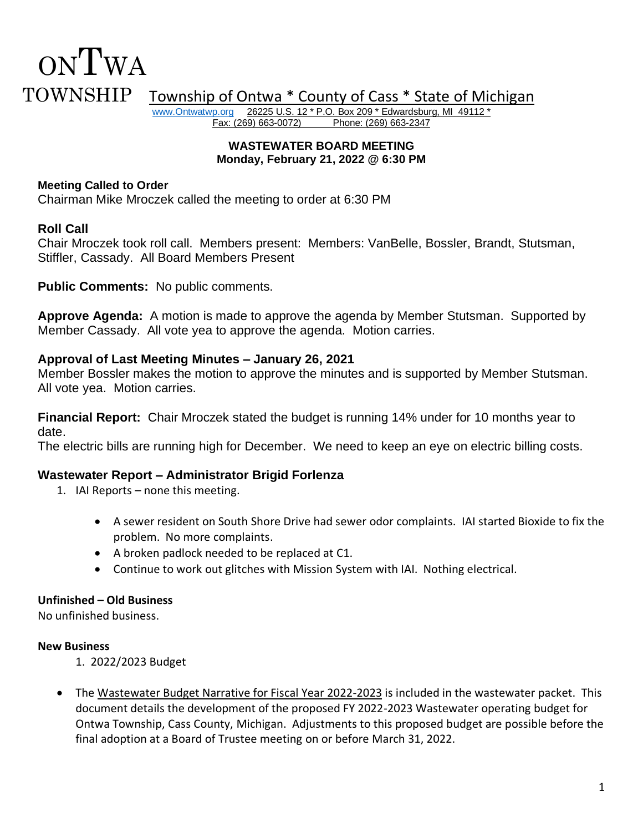# ONTWA TOWNSHIP Township of Ontwa \* County of Cass \* State of Michigan William Township of Ontwa \* County of Cass \* State of Michigan

26225 U.S. 12 \* P.O. Box 209 \* Edwardsburg, MI 49112 \* Fax: (269) 663-0072) Phone: (269) 663-2347

#### **WASTEWATER BOARD MEETING Monday, February 21, 2022 @ 6:30 PM**

## **Meeting Called to Order**

Chairman Mike Mroczek called the meeting to order at 6:30 PM

## **Roll Call**

Chair Mroczek took roll call. Members present: Members: VanBelle, Bossler, Brandt, Stutsman, Stiffler, Cassady. All Board Members Present

**Public Comments:** No public comments.

**Approve Agenda:** A motion is made to approve the agenda by Member Stutsman. Supported by Member Cassady. All vote yea to approve the agenda. Motion carries.

## **Approval of Last Meeting Minutes – January 26, 2021**

Member Bossler makes the motion to approve the minutes and is supported by Member Stutsman. All vote yea. Motion carries.

**Financial Report:** Chair Mroczek stated the budget is running 14% under for 10 months year to date.

The electric bills are running high for December. We need to keep an eye on electric billing costs.

## **Wastewater Report – Administrator Brigid Forlenza**

- 1. IAI Reports none this meeting.
	- A sewer resident on South Shore Drive had sewer odor complaints. IAI started Bioxide to fix the problem. No more complaints.
	- A broken padlock needed to be replaced at C1.
	- Continue to work out glitches with Mission System with IAI. Nothing electrical.

## **Unfinished – Old Business**

No unfinished business.

## **New Business**

- 1. 2022/2023 Budget
- The Wastewater Budget Narrative for Fiscal Year 2022-2023 is included in the wastewater packet. This document details the development of the proposed FY 2022-2023 Wastewater operating budget for Ontwa Township, Cass County, Michigan. Adjustments to this proposed budget are possible before the final adoption at a Board of Trustee meeting on or before March 31, 2022.